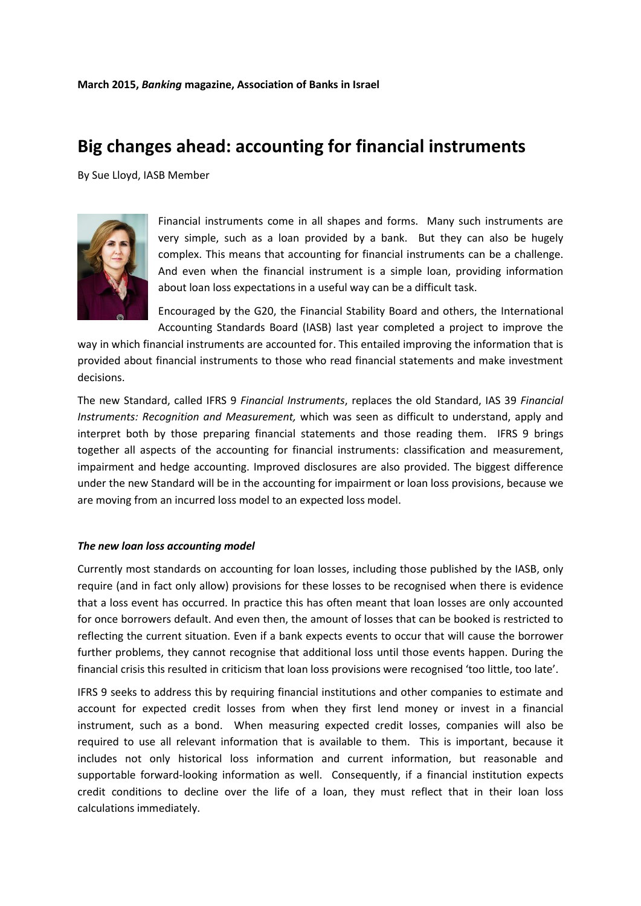## **Big changes ahead: accounting for financial instruments**

By Sue Lloyd, IASB Member



Financial instruments come in all shapes and forms. Many such instruments are very simple, such as a loan provided by a bank. But they can also be hugely complex. This means that accounting for financial instruments can be a challenge. And even when the financial instrument is a simple loan, providing information about loan loss expectations in a useful way can be a difficult task.

Encouraged by the G20, the Financial Stability Board and others, the International Accounting Standards Board (IASB) last year completed a project to improve the

way in which financial instruments are accounted for. This entailed improving the information that is provided about financial instruments to those who read financial statements and make investment decisions.

The new Standard, called IFRS 9 *Financial Instruments*, replaces the old Standard, IAS 39 *Financial Instruments: Recognition and Measurement,* which was seen as difficult to understand, apply and interpret both by those preparing financial statements and those reading them. IFRS 9 brings together all aspects of the accounting for financial instruments: classification and measurement, impairment and hedge accounting. Improved disclosures are also provided. The biggest difference under the new Standard will be in the accounting for impairment or loan loss provisions, because we are moving from an incurred loss model to an expected loss model.

## *The new loan loss accounting model*

Currently most standards on accounting for loan losses, including those published by the IASB, only require (and in fact only allow) provisions for these losses to be recognised when there is evidence that a loss event has occurred. In practice this has often meant that loan losses are only accounted for once borrowers default. And even then, the amount of losses that can be booked is restricted to reflecting the current situation. Even if a bank expects events to occur that will cause the borrower further problems, they cannot recognise that additional loss until those events happen. During the financial crisis this resulted in criticism that loan loss provisions were recognised 'too little, too late'.

IFRS 9 seeks to address this by requiring financial institutions and other companies to estimate and account for expected credit losses from when they first lend money or invest in a financial instrument, such as a bond. When measuring expected credit losses, companies will also be required to use all relevant information that is available to them. This is important, because it includes not only historical loss information and current information, but reasonable and supportable forward-looking information as well. Consequently, if a financial institution expects credit conditions to decline over the life of a loan, they must reflect that in their loan loss calculations immediately.